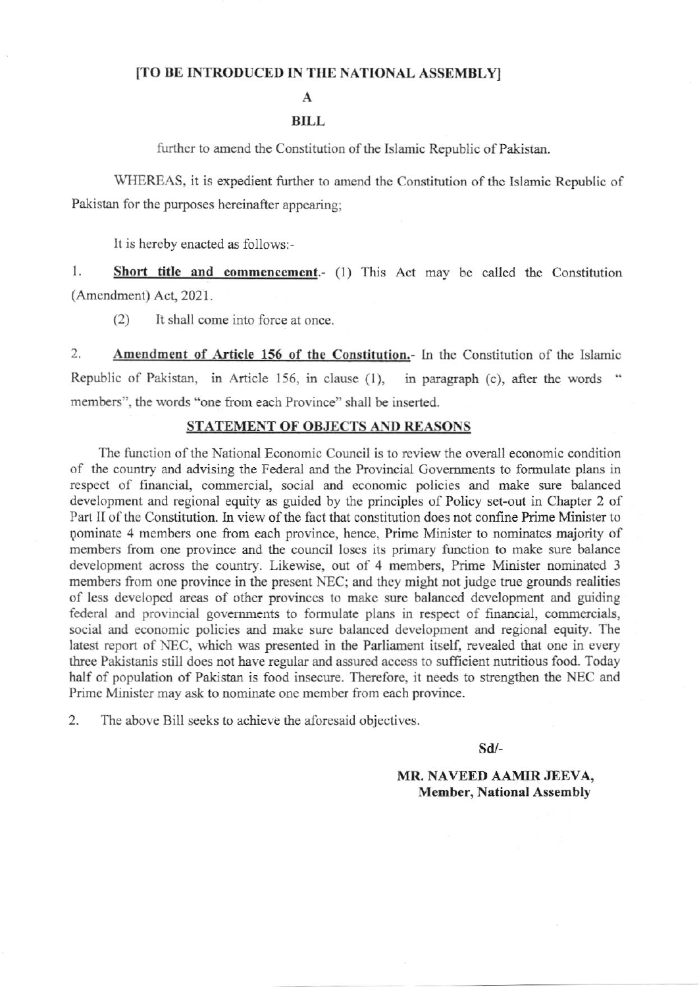## [TO BE INTRODUCED IN THE NATIONAL ASSEMBLY]

 $\mathbf{A}$ 

## **BILL**

further to amend the Constitution of the Islamic Republic of Pakistan.

WHEREAS, it is expedient further to amend the Constitution of the Islamic Republic of Pakistan for the purposes hereinafter appearing:

It is hereby enacted as follows:-

 $1.$ Short title and commencement.- (1) This Act may be called the Constitution (Amendment) Act, 2021.

 $(2)$ It shall come into force at once.

 $\overline{2}$ Amendment of Article 156 of the Constitution.- In the Constitution of the Islamic Republic of Pakistan, in Article 156, in clause (1), in paragraph (c), after the words " members", the words "one from each Province" shall be inserted.

## **STATEMENT OF OBJECTS AND REASONS**

The function of the National Economic Council is to review the overall economic condition of the country and advising the Federal and the Provincial Governments to formulate plans in respect of financial, commercial, social and economic policies and make sure balanced development and regional equity as guided by the principles of Policy set-out in Chapter 2 of Part II of the Constitution. In view of the fact that constitution does not confine Prime Minister to pominate 4 members one from each province, hence, Prime Minister to nominates majority of members from one province and the council loses its primary function to make sure balance development across the country. Likewise, out of 4 members, Prime Minister nominated 3 members from one province in the present NEC; and they might not judge true grounds realities of less developed areas of other provinces to make sure balanced development and guiding federal and provincial governments to formulate plans in respect of financial, commercials, social and economic policies and make sure balanced development and regional equity. The latest report of NEC, which was presented in the Parliament itself, revealed that one in every three Pakistanis still does not have regular and assured access to sufficient nutritious food. Today half of population of Pakistan is food insecure. Therefore, it needs to strengthen the NEC and Prime Minister may ask to nominate one member from each province.

 $2.$ The above Bill seeks to achieve the aforesaid objectives.

 $Sd$ 

MR. NAVEED AAMIR JEEVA, **Member, National Assembly**